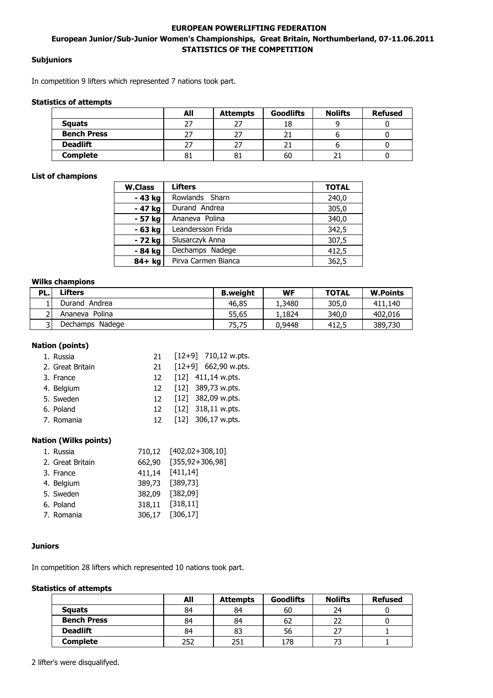# **EUROPEAN POWERLIFTING FEDERATION European Junior/Sub-Junior Women's Championships, Great Britain, Northumberland, 07-11.06.2011 STATISTICS OF THE COMPETITION**

## **Subjuniors**

In competition 9 lifters which represented 7 nations took part.

#### **Statistics of attempts**

|                    | All | <b>Attempts</b> | <b>Goodlifts</b> | <b>Nolifts</b> | <b>Refused</b> |
|--------------------|-----|-----------------|------------------|----------------|----------------|
| <b>Squats</b>      | 27  |                 | TO               |                |                |
| <b>Bench Press</b> | דר  |                 |                  |                |                |
| <b>Deadlift</b>    | 27  | 27              |                  |                |                |
| <b>Complete</b>    | 81  | 81              | 60               |                |                |

#### **List of champions**

| <b>W.Class</b> | <b>Lifters</b>      | <b>TOTAL</b> |
|----------------|---------------------|--------------|
| - 43 kg        | Rowlands Sharn      | 240,0        |
| - 47 kg        | Durand Andrea       | 305,0        |
| - 57 kg        | Ananeva Polina      | 340,0        |
| - 63 kg        | Leandersson Frida   | 342,5        |
| - 72 kg        | Slusarczyk Anna     | 307,5        |
| - 84 kg        | Dechamps Nadege     | 412,5        |
| 84+ kg         | Pirva Carmen Bianca | 362,5        |

#### **Wilks champions**

| PL. | Lifters            | <b>B.weight</b> | WF      | <b>TOTAL</b> | <b>W.Points</b> |
|-----|--------------------|-----------------|---------|--------------|-----------------|
|     | Durand Andrea      | 46,85           | 3480ء ک | 305.0        | 411,140         |
|     | Polina<br>Ananeva  | 55,65           | .1824.  | 340.0        | 402,016         |
|     | Nadege<br>Dechamps | 75.75           | 0,9448  | 412.5        | 389,730         |

#### **Nation (points)**

| 1. Russia        |     | 21 [12+9] 710,12 w.pts. |
|------------------|-----|-------------------------|
| 2. Great Britain | 21. | $[12+9]$ 662,90 w.pts.  |
| 3. France        |     | 12 [12] 411,14 w.pts.   |
| 4. Belgium       |     | 12 [12] 389,73 w.pts.   |
| 5. Sweden        |     | 12 [12] 382,09 w.pts.   |
| 6. Poland        |     | 12 [12] 318,11 w.pts.   |
| 7. Romania       |     | 12 [12] 306,17 w.pts.   |

### **Nation (Wilks points)**

| 1. Russia        |                 | 710,12 [402,02+308,10] |
|------------------|-----------------|------------------------|
| 2. Great Britain |                 | 662,90 [355,92+306,98] |
| 3. France        |                 | 411,14 [411,14]        |
| 4. Belgium       |                 | 389,73 [389,73]        |
| 5. Sweden        |                 | 382,09 [382,09]        |
| 6. Poland        | 318,11 [318,11] |                        |
| 7. Romania       | 306,17 [306,17] |                        |
|                  |                 |                        |

## **Juniors**

In competition 28 lifters which represented 10 nations took part.

### **Statistics of attempts**

|                    | All | <b>Attempts</b> | <b>Goodlifts</b> | <b>Nolifts</b> | <b>Refused</b> |
|--------------------|-----|-----------------|------------------|----------------|----------------|
| <b>Squats</b>      | 84  | 84              | 60               | 24             |                |
| <b>Bench Press</b> | 84  | 84              | 62               | 22             |                |
| <b>Deadlift</b>    | 84  | 83              | 56               |                |                |
| Complete           | 252 | 251             | 78ء              |                |                |

2 lifter's were disqualifyed.